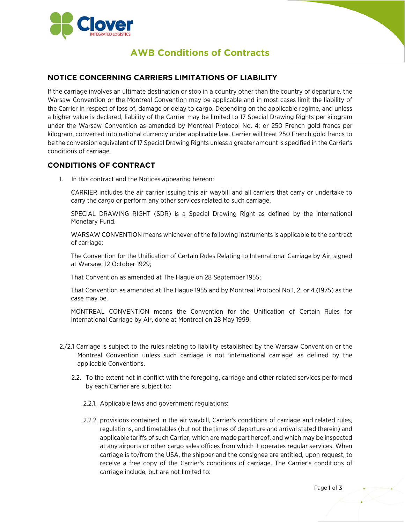

## **AWB Conditions of Contracts**

## **NOTICE CONCERNING CARRIERS LIMITATIONS OF LIABILITY**

If the carriage involves an ultimate destination or stop in a country other than the country of departure, the Warsaw Convention or the Montreal Convention may be applicable and in most cases limit the liability of the Carrier in respect of loss of, damage or delay to cargo. Depending on the applicable regime, and unless a higher value is declared, liability of the Carrier may be limited to 17 Special Drawing Rights per kilogram under the Warsaw Convention as amended by Montreal Protocol No. 4; or 250 French gold francs per kilogram, converted into national currency under applicable law. Carrier will treat 250 French gold francs to be the conversion equivalent of 17 Special Drawing Rights unless a greater amount is specified in the Carrier's conditions of carriage.

## **CONDITIONS OF CONTRACT**

1. In this contract and the Notices appearing hereon:

CARRIER includes the air carrier issuing this air waybill and all carriers that carry or undertake to carry the cargo or perform any other services related to such carriage.

SPECIAL DRAWING RIGHT (SDR) is a Special Drawing Right as defined by the International Monetary Fund.

WARSAW CONVENTION means whichever of the following instruments is applicable to the contract of carriage:

The Convention for the Unification of Certain Rules Relating to International Carriage by Air, signed at Warsaw, 12 October 1929;

That Convention as amended at The Hague on 28 September 1955;

That Convention as amended at The Hague 1955 and by Montreal Protocol No.1, 2, or 4 (1975) as the case may be.

MONTREAL CONVENTION means the Convention for the Unification of Certain Rules for International Carriage by Air, done at Montreal on 28 May 1999.

- 2./2.1 Carriage is subject to the rules relating to liability established by the Warsaw Convention or the Montreal Convention unless such carriage is not 'international carriage' as defined by the applicable Conventions.
	- 2.2. To the extent not in conflict with the foregoing, carriage and other related services performed by each Carrier are subject to:
		- 2.2.1. Applicable laws and government regulations;
		- 2.2.2. provisions contained in the air waybill, Carrier's conditions of carriage and related rules, regulations, and timetables (but not the times of departure and arrival stated therein) and applicable tariffs of such Carrier, which are made part hereof, and which may be inspected at any airports or other cargo sales offices from which it operates regular services. When carriage is to/from the USA, the shipper and the consignee are entitled, upon request, to receive a free copy of the Carrier's conditions of carriage. The Carrier's conditions of carriage include, but are not limited to: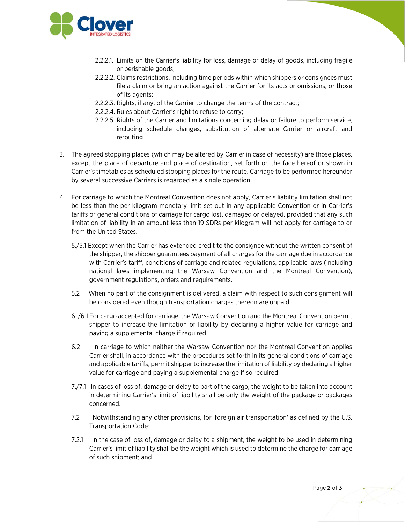

- 2.2.2.1. Limits on the Carrier's liability for loss, damage or delay of goods, including fragile or perishable goods;
- 2.2.2.2. Claims restrictions, including time periods within which shippers or consignees must file a claim or bring an action against the Carrier for its acts or omissions, or those of its agents;
- 2.2.2.3. Rights, if any, of the Carrier to change the terms of the contract;
- 2.2.2.4. Rules about Carrier's right to refuse to carry;
- 2.2.2.5. Rights of the Carrier and limitations concerning delay or failure to perform service, including schedule changes, substitution of alternate Carrier or aircraft and rerouting.
- 3. The agreed stopping places (which may be altered by Carrier in case of necessity) are those places, except the place of departure and place of destination, set forth on the face hereof or shown in Carrier's timetables as scheduled stopping places for the route. Carriage to be performed hereunder by several successive Carriers is regarded as a single operation.
- 4. For carriage to which the Montreal Convention does not apply, Carrier's liability limitation shall not be less than the per kilogram monetary limit set out in any applicable Convention or in Carrier's tariffs or general conditions of carriage for cargo lost, damaged or delayed, provided that any such limitation of liability in an amount less than 19 SDRs per kilogram will not apply for carriage to or from the United States.
	- 5./5.1 Except when the Carrier has extended credit to the consignee without the written consent of the shipper, the shipper guarantees payment of all charges for the carriage due in accordance with Carrier's tariff, conditions of carriage and related regulations, applicable laws (including national laws implementing the Warsaw Convention and the Montreal Convention), government regulations, orders and requirements.
	- 5.2 When no part of the consignment is delivered, a claim with respect to such consignment will be considered even though transportation charges thereon are unpaid.
	- 6. /6.1 For cargo accepted for carriage, the Warsaw Convention and the Montreal Convention permit shipper to increase the limitation of liability by declaring a higher value for carriage and paying a supplemental charge if required.
	- 6.2 In carriage to which neither the Warsaw Convention nor the Montreal Convention applies Carrier shall, in accordance with the procedures set forth in its general conditions of carriage and applicable tariffs, permit shipper to increase the limitation of liability by declaring a higher value for carriage and paying a supplemental charge if so required.
	- 7./7.1 In cases of loss of, damage or delay to part of the cargo, the weight to be taken into account in determining Carrier's limit of liability shall be only the weight of the package or packages concerned.
	- 7.2 Notwithstanding any other provisions, for 'foreign air transportation' as defined by the U.S. Transportation Code:
	- 7.2.1 in the case of loss of, damage or delay to a shipment, the weight to be used in determining Carrier's limit of liability shall be the weight which is used to determine the charge for carriage of such shipment; and